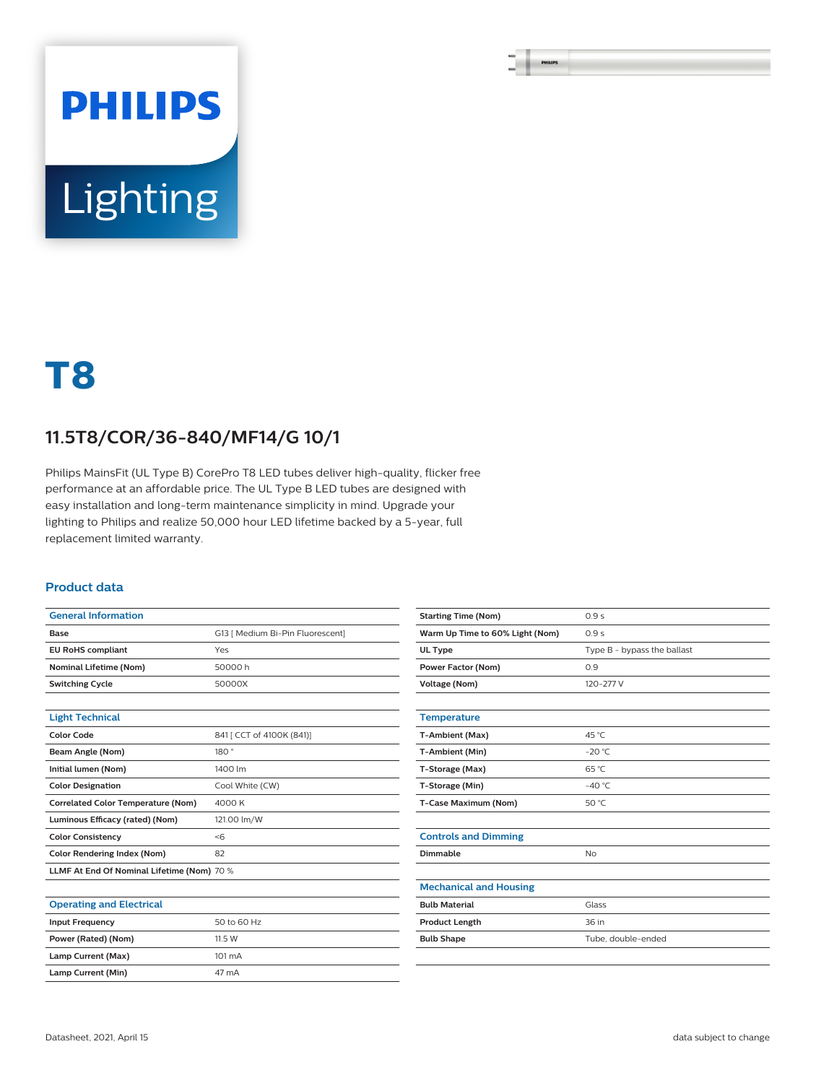# **PHILIPS** Lighting

## **T8**

### **11.5T8/COR/36-840/MF14/G 10/1**

Philips MainsFit (UL Type B) CorePro T8 LED tubes deliver high-quality, flicker free performance at an affordable price. The UL Type B LED tubes are designed with easy installation and long-term maintenance simplicity in mind. Upgrade your lighting to Philips and realize 50,000 hour LED lifetime backed by a 5-year, full replacement limited warranty.

#### **Product data**

| <b>General Information</b>                 |                                  |
|--------------------------------------------|----------------------------------|
| Base                                       | G13   Medium Bi-Pin Fluorescent] |
| <b>EU RoHS compliant</b>                   | Yes                              |
| <b>Nominal Lifetime (Nom)</b>              | 50000 h                          |
| <b>Switching Cycle</b>                     | 50000X                           |
|                                            |                                  |
| <b>Light Technical</b>                     |                                  |
| <b>Color Code</b>                          | 841 [ CCT of 4100K (841)]        |
| Beam Angle (Nom)                           | 180°                             |
| Initial lumen (Nom)                        | 1400 lm                          |
| <b>Color Designation</b>                   | Cool White (CW)                  |
| <b>Correlated Color Temperature (Nom)</b>  | 4000K                            |
| Luminous Efficacy (rated) (Nom)            | 121.00 lm/W                      |
| <b>Color Consistency</b>                   | < 6                              |
| Color Rendering Index (Nom)                | 82                               |
| LLMF At End Of Nominal Lifetime (Nom) 70 % |                                  |
|                                            |                                  |
| <b>Operating and Electrical</b>            |                                  |
|                                            |                                  |

| <b>Operating and Electrical</b> |                  |
|---------------------------------|------------------|
| <b>Input Frequency</b>          | 50 to 60 Hz      |
| Power (Rated) (Nom)             | 11.5 W           |
| Lamp Current (Max)              | $101 \text{ mA}$ |
| Lamp Current (Min)              | 47 mA            |
|                                 |                  |

| <b>Starting Time (Nom)</b>      | 0.9s                        |
|---------------------------------|-----------------------------|
| Warm Up Time to 60% Light (Nom) | 0.9s                        |
| UL Type                         | Type B - bypass the ballast |
| <b>Power Factor (Nom)</b>       | 0.9                         |
| <b>Voltage (Nom)</b>            | 120-277 V                   |
|                                 |                             |
| <b>Temperature</b>              |                             |
| T-Ambient (Max)                 | 45 °C                       |
| T-Ambient (Min)                 | $-20 °C$                    |
| T-Storage (Max)                 | 65 °C                       |
| T-Storage (Min)                 | $-40^{\circ}$ C             |
| T-Case Maximum (Nom)            | 50 °C                       |
|                                 |                             |
| <b>Controls and Dimming</b>     |                             |
| Dimmable                        | <b>No</b>                   |
|                                 |                             |
| <b>Mechanical and Housing</b>   |                             |
| <b>Bulb Material</b>            | Glass                       |
| <b>Product Length</b>           | 36 in                       |
| <b>Bulb Shape</b>               | Tube, double-ended          |
|                                 |                             |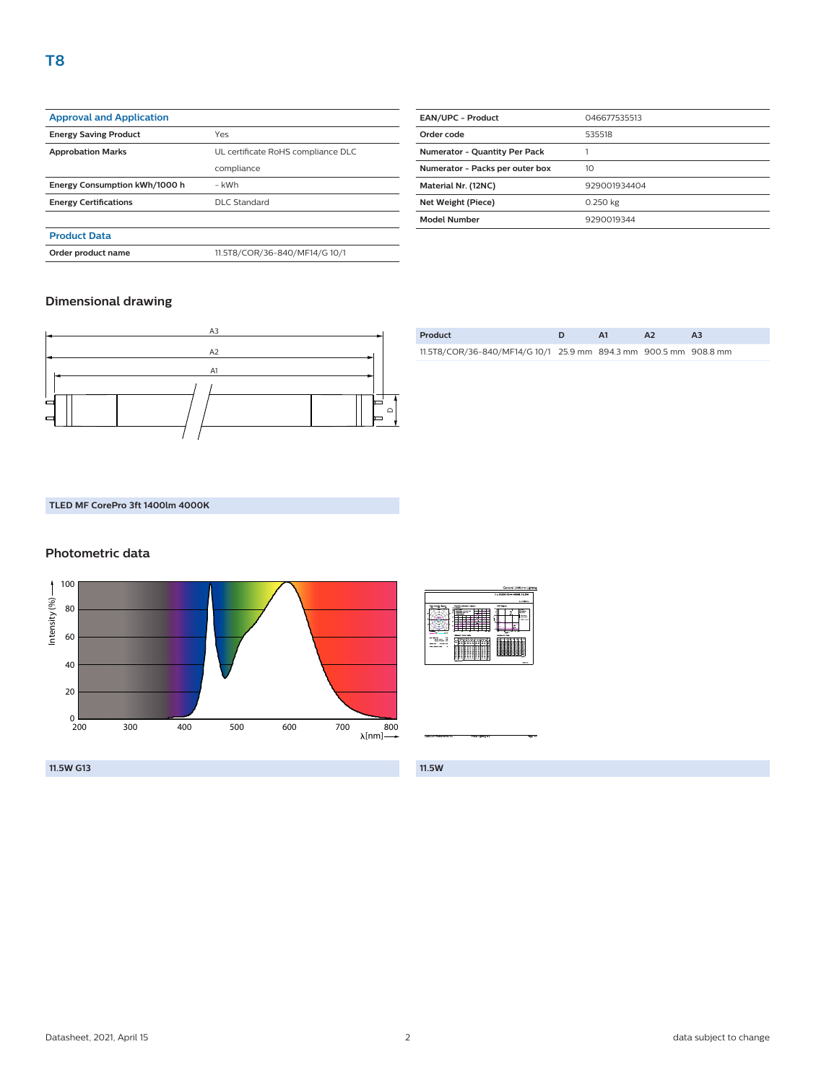| <b>Approval and Application</b> |                                    |
|---------------------------------|------------------------------------|
| <b>Energy Saving Product</b>    | Yes                                |
|                                 |                                    |
| <b>Approbation Marks</b>        | UL certificate RoHS compliance DLC |
|                                 | compliance                         |
| Energy Consumption kWh/1000 h   | - kWh                              |
| <b>Energy Certifications</b>    | DLC Standard                       |
|                                 |                                    |
| <b>Product Data</b>             |                                    |

**Order product name** 11.5T8/COR/36-840/MF14/G 10/1

| <b>EAN/UPC - Product</b>             | 046677535513 |
|--------------------------------------|--------------|
| Order code                           | 535518       |
| <b>Numerator - Quantity Per Pack</b> |              |
| Numerator - Packs per outer box      | 10           |
| Material Nr. (12NC)                  | 929001934404 |
| Net Weight (Piece)                   | 0.250 kg     |
| <b>Model Number</b>                  | 9290019344   |
|                                      |              |

#### **Dimensional drawing**



| Product                                                          |  |  |
|------------------------------------------------------------------|--|--|
| 11.5T8/COR/36-840/MF14/G 10/1 25.9 mm 894.3 mm 900.5 mm 908.8 mm |  |  |

#### **TLED MF CorePro 3ft 1400lm 4000K**

#### **Photometric data**



|                                                                                                                     |                                                                                                                                             | General Uniform Lighting                                                                                                     |
|---------------------------------------------------------------------------------------------------------------------|---------------------------------------------------------------------------------------------------------------------------------------------|------------------------------------------------------------------------------------------------------------------------------|
|                                                                                                                     |                                                                                                                                             | 1 x 9290019344 400000 11.5W                                                                                                  |
|                                                                                                                     |                                                                                                                                             | 1 x 1400 lm                                                                                                                  |
| Pelar inservice diameter<br><b>STATISTICS</b><br>. .<br><b>College</b><br>-                                         | <b>Don't criminal forum</b><br>$\overline{\phantom{1}}$<br><b>NOV ENGINE</b><br>----<br>٠<br>٠<br>--<br>×<br><b>Littlewood System Index</b> | UCA degrees<br><b>DOM</b><br>--<br><b>SHOWER</b><br><b><i><u>SALES CONTRACTORY</u></i></b><br>March 44, 44<br><b>DOM TAK</b> |
| <b><i>Information</i></b><br>$\sim$<br>÷<br><b>STATISTICS</b><br><b>Williams</b> IN<br><b>Want Time</b><br>COLUMN 1 | in the site of a line by Ch<br>$\sim$<br>$\sim$<br>w<br>11 F<br>10 F<br>$\sim$ $\sim$<br>÷                                                  |                                                                                                                              |
| <b>HAMBARDS</b><br><b>A</b>                                                                                         | а<br>∷<br>÷<br>Ξ<br>÷<br>Ξ<br>з<br>н<br>v<br>÷<br>,,,<br>$\sim$<br>-<br>÷<br>я<br>۰<br>٠<br>٠<br>٠<br>c<br>∷                                |                                                                                                                              |
|                                                                                                                     | Grey transfer                                                                                                                               | <b>CALL AND IN</b>                                                                                                           |

**11.5W**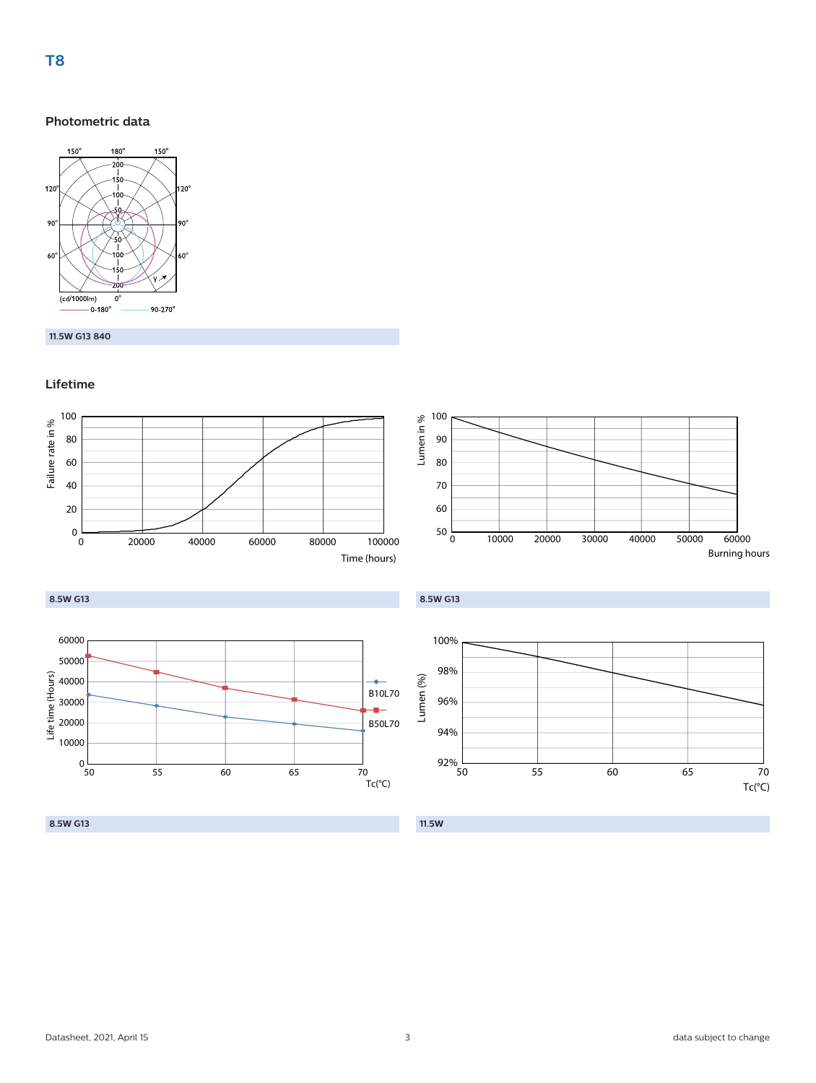#### **Photometric data**



#### **11.5W G13 840**

#### **Lifetime**